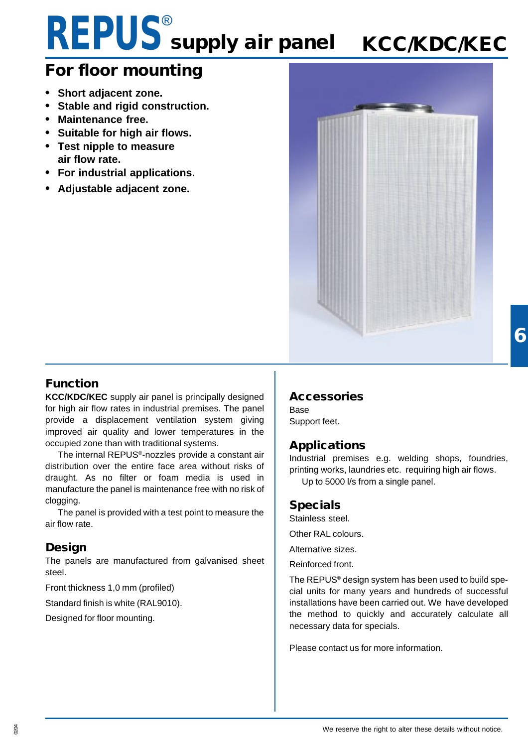# **REPUS**® **supply air panel**

# **KCC/KDC/KEC**

# **For floor mounting**

- **• Short adjacent zone.**
- **• Stable and rigid construction.**
- **• Maintenance free.**
- **• Suitable for high air flows.**
- **• Test nipple to measure air flow rate.**
- **• For industrial applications.**
- **• Adjustable adjacent zone.**



#### **Function**

**KCC/KDC/KEC** supply air panel is principally designed for high air flow rates in industrial premises. The panel provide a displacement ventilation system giving improved air quality and lower temperatures in the occupied zone than with traditional systems.

The internal REPUS®-nozzles provide a constant air distribution over the entire face area without risks of draught. As no filter or foam media is used in manufacture the panel is maintenance free with no risk of clogging.

The panel is provided with a test point to measure the air flow rate.

#### **Design**

The panels are manufactured from galvanised sheet steel.

Front thickness 1,0 mm (profiled)

Standard finish is white (RAL9010).

Designed for floor mounting.

#### **Accessories**

Base Support feet.

#### **Applications**

Industrial premises e.g. welding shops, foundries, printing works, laundries etc. requiring high air flows. Up to 5000 l/s from a single panel.

#### **Specials**

Stainless steel.

Other RAL colours.

Alternative sizes.

Reinforced front.

The REPUS® design system has been used to build special units for many years and hundreds of successful installations have been carried out. We have developed the method to quickly and accurately calculate all necessary data for specials.

Please contact us for more information.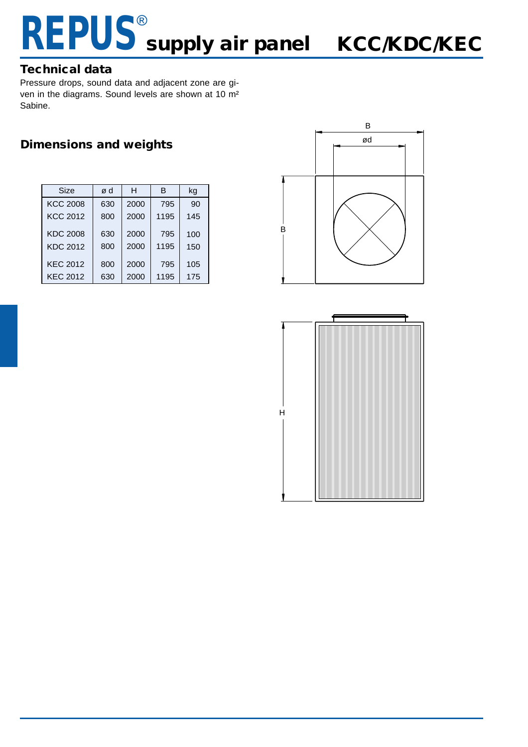## **REPUS** supply air panel KCC/KDC/KEC ® **supply air panel**

#### **Technical data**

Pressure drops, sound data and adjacent zone are given in the diagrams. Sound levels are shown at 10 m² Sabine.

#### **Dimensions and weights**

| Size            | ød  | н    | в    | kg  |
|-----------------|-----|------|------|-----|
| <b>KCC 2008</b> | 630 | 2000 | 795  | 90  |
| <b>KCC 2012</b> | 800 | 2000 | 1195 | 145 |
| <b>KDC 2008</b> | 630 | 2000 | 795  | 100 |
| <b>KDC 2012</b> | 800 | 2000 | 1195 | 150 |
| <b>KEC 2012</b> | 800 | 2000 | 795  | 105 |
| <b>KEC 2012</b> | 630 | 2000 | 1195 | 175 |



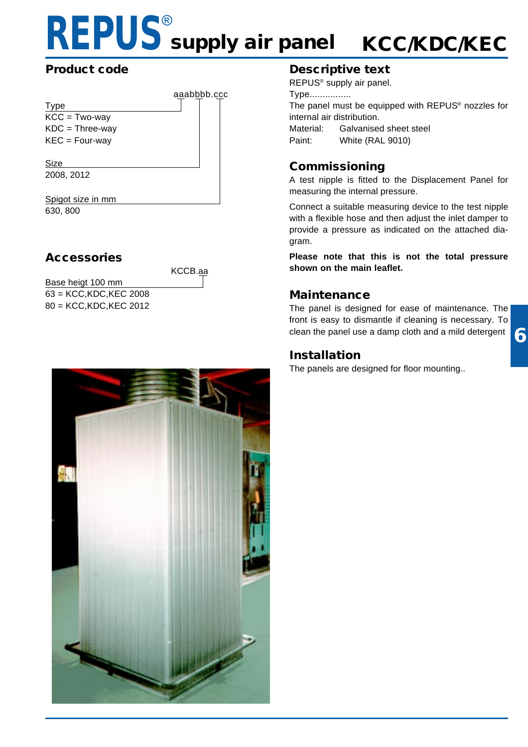# **REPUS**® **supply air panel KCC/KDC/KEC**

#### **Product code**

|                   | aaabbbb.ccc |  |
|-------------------|-------------|--|
| <b>Type</b>       |             |  |
| $KCC = Two-way$   |             |  |
| $KDC = Three-way$ |             |  |
| $KEC = Four-way$  |             |  |
|                   |             |  |
| Size              |             |  |
| 2008, 2012        |             |  |
|                   |             |  |
| ot size in mm     |             |  |

630, 800

#### **Accessories**

KCCB.aa

Base heigt 100 mm 63 = KCC,KDC,KEC 2008 80 = KCC,KDC,KEC 2012



#### **Descriptive text**

REPUS® supply air panel.

Type................

The panel must be equipped with REPUS® nozzles for internal air distribution. Material: Galvanised sheet steel Paint: White (RAL 9010)

#### **Commissioning**

A test nipple is fitted to the Displacement Panel for measuring the internal pressure.

Connect a suitable measuring device to the test nipple with a flexible hose and then adjust the inlet damper to provide a pressure as indicated on the attached diagram.

**Please note that this is not the total pressure shown on the main leaflet.**

#### **Maintenance**

The panel is designed for ease of maintenance. The front is easy to dismantle if cleaning is necessary. To clean the panel use a damp cloth and a mild detergent

#### **Installation**

The panels are designed for floor mounting..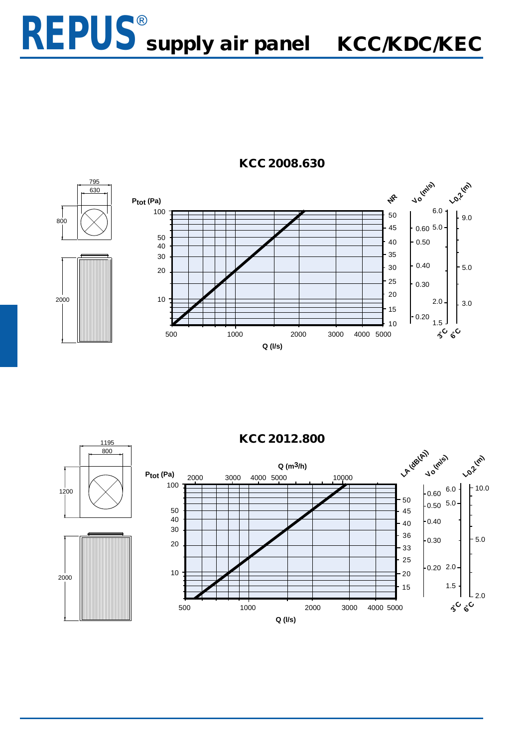### **REPUS** supply air panel KCC/KDC/KEC ® **supply air panel**



#### **KCC 2008.630**

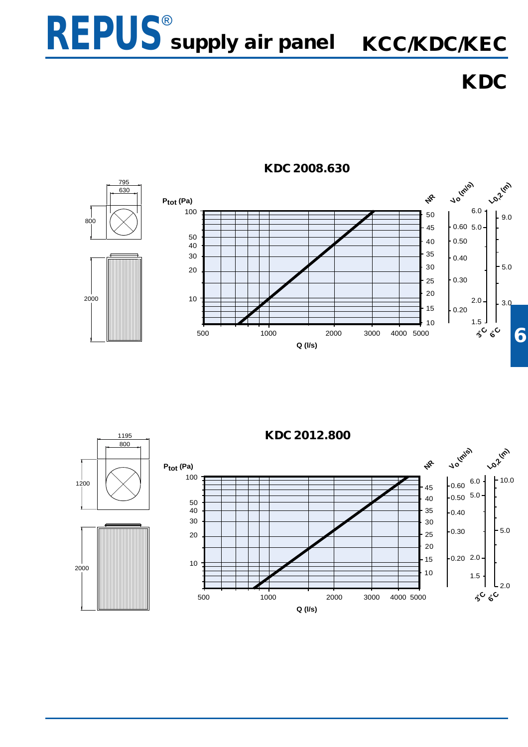

**KDC**



#### **KDC 2008.630**